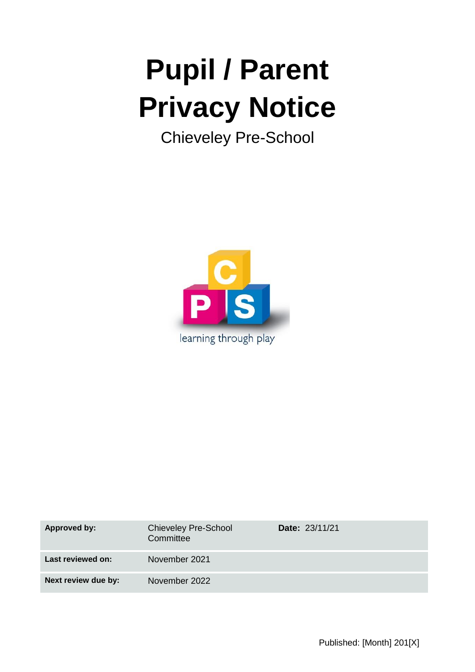# **Pupil / Parent Privacy Notice**

Chieveley Pre-School



| <b>Approved by:</b> | <b>Chieveley Pre-School</b><br>Committee | <b>Date: 23/11/21</b> |
|---------------------|------------------------------------------|-----------------------|
| Last reviewed on:   | November 2021                            |                       |
| Next review due by: | November 2022                            |                       |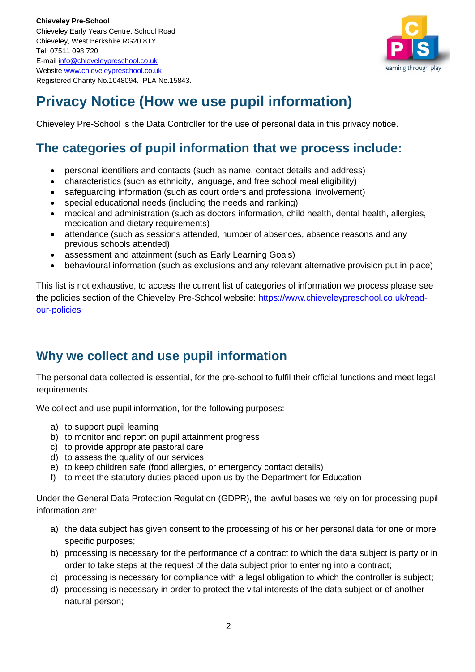

# **Privacy Notice (How we use pupil information)**

Chieveley Pre-School is the Data Controller for the use of personal data in this privacy notice.

# **The categories of pupil information that we process include:**

- personal identifiers and contacts (such as name, contact details and address)
- characteristics (such as ethnicity, language, and free school meal eligibility)
- safeguarding information (such as court orders and professional involvement)
- special educational needs (including the needs and ranking)
- medical and administration (such as doctors information, child health, dental health, allergies, medication and dietary requirements)
- attendance (such as sessions attended, number of absences, absence reasons and any previous schools attended)
- assessment and attainment (such as Early Learning Goals)
- behavioural information (such as exclusions and any relevant alternative provision put in place)

This list is not exhaustive, to access the current list of categories of information we process please see the policies section of the Chieveley Pre-School website: [https://www.chieveleypreschool.co.uk/read](https://www.chieveleypreschool.co.uk/read-our-policies)[our-policies](https://www.chieveleypreschool.co.uk/read-our-policies)

# **Why we collect and use pupil information**

The personal data collected is essential, for the pre-school to fulfil their official functions and meet legal requirements.

We collect and use pupil information, for the following purposes:

- a) to support pupil learning
- b) to monitor and report on pupil attainment progress
- c) to provide appropriate pastoral care
- d) to assess the quality of our services
- e) to keep children safe (food allergies, or emergency contact details)
- f) to meet the statutory duties placed upon us by the Department for Education

Under the General Data Protection Regulation (GDPR), the lawful bases we rely on for processing pupil information are:

- a) the data subject has given consent to the processing of his or her personal data for one or more specific purposes;
- b) processing is necessary for the performance of a contract to which the data subject is party or in order to take steps at the request of the data subject prior to entering into a contract;
- c) processing is necessary for compliance with a legal obligation to which the controller is subject;
- d) processing is necessary in order to protect the vital interests of the data subject or of another natural person;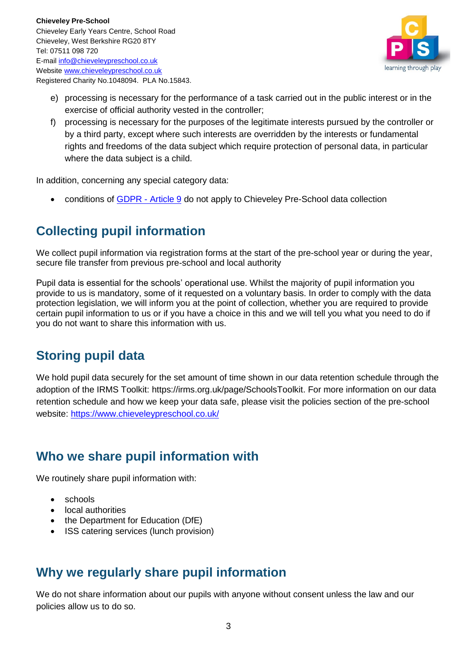

- e) processing is necessary for the performance of a task carried out in the public interest or in the exercise of official authority vested in the controller;
- f) processing is necessary for the purposes of the legitimate interests pursued by the controller or by a third party, except where such interests are overridden by the interests or fundamental rights and freedoms of the data subject which require protection of personal data, in particular where the data subject is a child.

In addition, concerning any special category data:

• conditions of GDPR - [Article 9](https://gdpr-info.eu/art-9-gdpr/) do not apply to Chieveley Pre-School data collection

# **Collecting pupil information**

We collect pupil information via registration forms at the start of the pre-school year or during the year, secure file transfer from previous pre-school and local authority

Pupil data is essential for the schools' operational use. Whilst the majority of pupil information you provide to us is mandatory, some of it requested on a voluntary basis. In order to comply with the data protection legislation, we will inform you at the point of collection, whether you are required to provide certain pupil information to us or if you have a choice in this and we will tell you what you need to do if you do not want to share this information with us.

# **Storing pupil data**

We hold pupil data securely for the set amount of time shown in our data retention schedule through the adoption of the IRMS Toolkit: https://irms.org.uk/page/SchoolsToolkit. For more information on our data retention schedule and how we keep your data safe, please visit the policies section of the pre-school website:<https://www.chieveleypreschool.co.uk/>

# **Who we share pupil information with**

We routinely share pupil information with:

- schools
- local authorities
- the Department for Education (DfE)
- ISS catering services (lunch provision)

## **Why we regularly share pupil information**

We do not share information about our pupils with anyone without consent unless the law and our policies allow us to do so.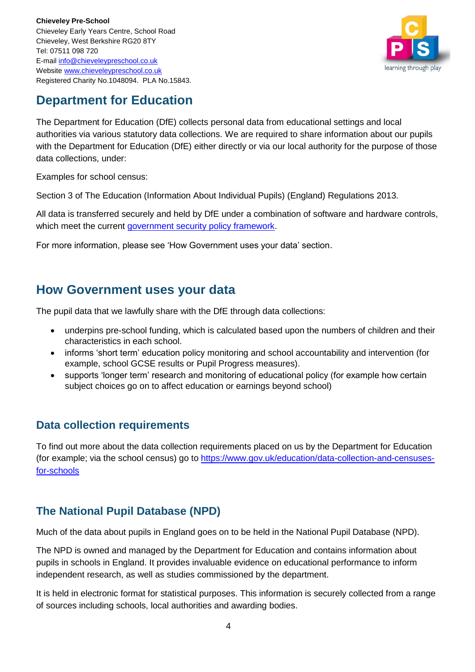

# **Department for Education**

The Department for Education (DfE) collects personal data from educational settings and local authorities via various statutory data collections. We are required to share information about our pupils with the Department for Education (DfE) either directly or via our local authority for the purpose of those data collections, under:

Examples for school census:

Section 3 of The Education (Information About Individual Pupils) (England) Regulations 2013.

All data is transferred securely and held by DfE under a combination of software and hardware controls, which meet the current [government security policy framework.](https://www.gov.uk/government/publications/security-policy-framework)

For more information, please see 'How Government uses your data' section.

## **How Government uses your data**

The pupil data that we lawfully share with the DfE through data collections:

- underpins pre-school funding, which is calculated based upon the numbers of children and their characteristics in each school.
- informs 'short term' education policy monitoring and school accountability and intervention (for example, school GCSE results or Pupil Progress measures).
- supports 'longer term' research and monitoring of educational policy (for example how certain subject choices go on to affect education or earnings beyond school)

#### **Data collection requirements**

To find out more about the data collection requirements placed on us by the Department for Education (for example; via the school census) go to [https://www.gov.uk/education/data-collection-and-censuses](https://www.gov.uk/education/data-collection-and-censuses-for-schools)[for-schools](https://www.gov.uk/education/data-collection-and-censuses-for-schools)

## **The National Pupil Database (NPD)**

Much of the data about pupils in England goes on to be held in the National Pupil Database (NPD).

The NPD is owned and managed by the Department for Education and contains information about pupils in schools in England. It provides invaluable evidence on educational performance to inform independent research, as well as studies commissioned by the department.

It is held in electronic format for statistical purposes. This information is securely collected from a range of sources including schools, local authorities and awarding bodies.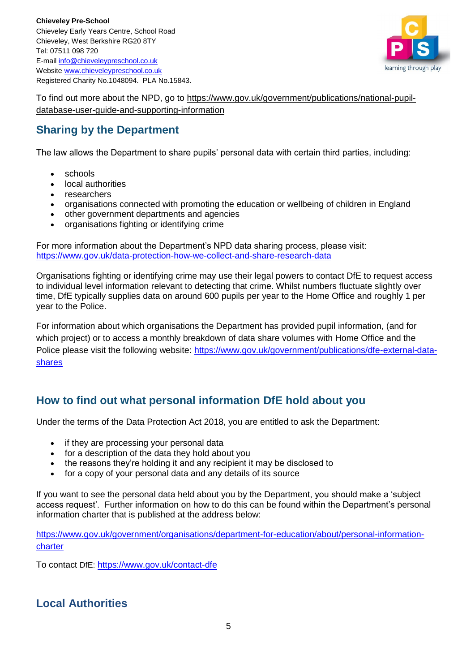

To find out more about the NPD, go to [https://www.gov.uk/government/publications/national-pupil](https://www.gov.uk/government/publications/national-pupil-database-user-guide-and-supporting-information)[database-user-guide-and-supporting-information](https://www.gov.uk/government/publications/national-pupil-database-user-guide-and-supporting-information)

### **Sharing by the Department**

The law allows the Department to share pupils' personal data with certain third parties, including:

- schools
- local authorities
- **researchers**
- organisations connected with promoting the education or wellbeing of children in England
- other government departments and agencies
- organisations fighting or identifying crime

For more information about the Department's NPD data sharing process, please visit: <https://www.gov.uk/data-protection-how-we-collect-and-share-research-data>

Organisations fighting or identifying crime may use their legal powers to contact DfE to request access to individual level information relevant to detecting that crime. Whilst numbers fluctuate slightly over time, DfE typically supplies data on around 600 pupils per year to the Home Office and roughly 1 per year to the Police.

For information about which organisations the Department has provided pupil information, (and for which project) or to access a monthly breakdown of data share volumes with Home Office and the Police please visit the following website: [https://www.gov.uk/government/publications/dfe-external-data](https://www.gov.uk/government/publications/dfe-external-data-shares)[shares](https://www.gov.uk/government/publications/dfe-external-data-shares)

#### **How to find out what personal information DfE hold about you**

Under the terms of the Data Protection Act 2018, you are entitled to ask the Department:

- if they are processing your personal data
- for a description of the data they hold about you
- the reasons they're holding it and any recipient it may be disclosed to
- for a copy of your personal data and any details of its source

If you want to see the personal data held about you by the Department, you should make a 'subject access request'. Further information on how to do this can be found within the Department's personal information charter that is published at the address below:

[https://www.gov.uk/government/organisations/department-for-education/about/personal-information](https://www.gov.uk/government/organisations/department-for-education/about/personal-information-charter)[charter](https://www.gov.uk/government/organisations/department-for-education/about/personal-information-charter)

To contact DfE: <https://www.gov.uk/contact-dfe>

#### **Local Authorities**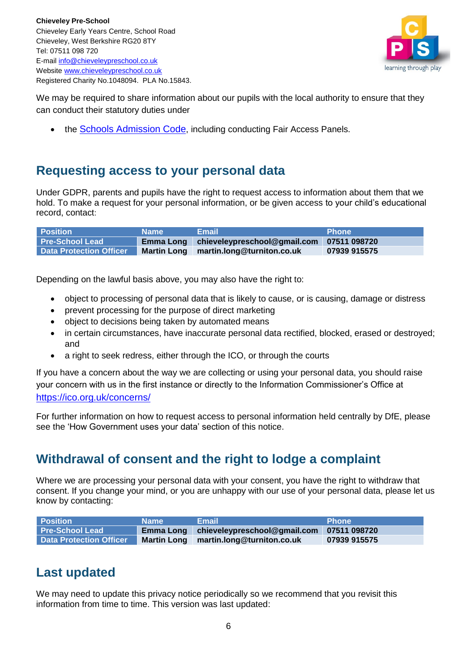

We may be required to share information about our pupils with the local authority to ensure that they can conduct their statutory duties under

• the [Schools Admission Code](https://www.gov.uk/government/publications/school-admissions-code--2), including conducting Fair Access Panels.

## **Requesting access to your personal data**

Under GDPR, parents and pupils have the right to request access to information about them that we hold. To make a request for your personal information, or be given access to your child's educational record, contact:

| <b>Position</b>                | <b>Name</b>      | <b>Email</b>                              | <b>Phone</b> |
|--------------------------------|------------------|-------------------------------------------|--------------|
| <b>Pre-School Lead</b>         | <b>Emma Long</b> | chieveleypreschool@gmail.com 07511 098720 |              |
| <b>Data Protection Officer</b> |                  | Martin Long martin.long@turniton.co.uk    | 07939 915575 |

Depending on the lawful basis above, you may also have the right to:

- object to processing of personal data that is likely to cause, or is causing, damage or distress
- prevent processing for the purpose of direct marketing
- object to decisions being taken by automated means
- in certain circumstances, have inaccurate personal data rectified, blocked, erased or destroyed; and
- a right to seek redress, either through the ICO, or through the courts

If you have a concern about the way we are collecting or using your personal data, you should raise your concern with us in the first instance or directly to the Information Commissioner's Office at <https://ico.org.uk/concerns/>

For further information on how to request access to personal information held centrally by DfE, please see the 'How Government uses your data' section of this notice.

## **Withdrawal of consent and the right to lodge a complaint**

Where we are processing your personal data with your consent, you have the right to withdraw that consent. If you change your mind, or you are unhappy with our use of your personal data, please let us know by contacting:

| <b>Position</b>                | <b>Name</b> | 'Email i                                                | <b>Phone</b> ' |
|--------------------------------|-------------|---------------------------------------------------------|----------------|
| <b>Pre-School Lead</b>         |             | Emma Long   chieveleypreschool@gmail.com   07511 098720 |                |
| <b>Data Protection Officer</b> |             | Martin Long martin.long@turniton.co.uk                  | 07939 915575   |

## **Last updated**

We may need to update this privacy notice periodically so we recommend that you revisit this information from time to time. This version was last updated: